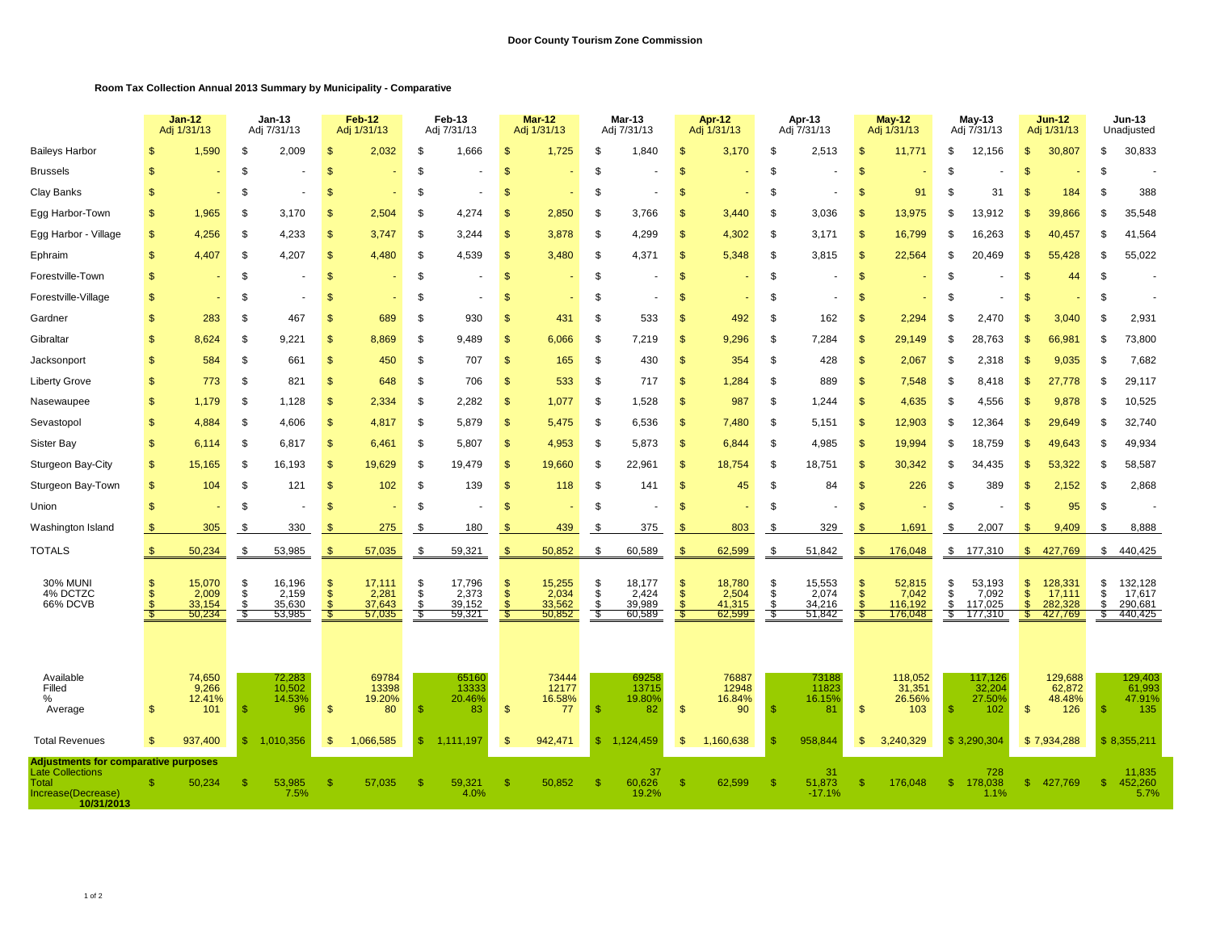## **Room Tax Collection Annual 2013 Summary by Municipality - Comparative**

|                                                                                                                     |                    | <b>Jan-12</b><br>Adj 1/31/13                |                        | Jan-13<br>Adj 7/31/13                         |                    | Feb-12<br>Adj 1/31/13                       |                      | Feb-13<br>Adj 7/31/13                       |                                  | <b>Mar-12</b><br>Adj 1/31/13              |                    | Mar-13<br>Adj 7/31/13                       |                      | Apr-12<br>Adj 1/31/13                       |                      | Apr-13<br>Adj 7/31/13                     |                      | $May-12$<br>Adj 1/31/13                         |                     | $May-13$<br>Adj 7/31/13                           |               | <b>Jun-12</b><br>Adj 1/31/13                      |                        | Jun-13<br>Unadjusted                              |
|---------------------------------------------------------------------------------------------------------------------|--------------------|---------------------------------------------|------------------------|-----------------------------------------------|--------------------|---------------------------------------------|----------------------|---------------------------------------------|----------------------------------|-------------------------------------------|--------------------|---------------------------------------------|----------------------|---------------------------------------------|----------------------|-------------------------------------------|----------------------|-------------------------------------------------|---------------------|---------------------------------------------------|---------------|---------------------------------------------------|------------------------|---------------------------------------------------|
| <b>Baileys Harbor</b>                                                                                               |                    | 1,590                                       | -\$                    | 2,009                                         | - \$               | 2,032                                       | -\$                  | 1,666                                       | $\mathbf{s}$                     | 1,725                                     | S                  | 1,840                                       | \$.                  | 3,170                                       | \$                   | 2,513                                     | \$                   | 11,771                                          | \$                  | 12,156                                            | \$.           | 30,807                                            | \$                     | 30,833                                            |
| <b>Brussels</b>                                                                                                     | \$                 |                                             | $\mathcal{S}$          |                                               | \$                 |                                             | \$                   |                                             | <b>S</b>                         |                                           | \$                 |                                             | \$                   |                                             | \$                   |                                           | <sup>\$</sup>        |                                                 | S                   |                                                   | S             |                                                   | \$.                    |                                                   |
| Clay Banks                                                                                                          | $\mathbf{s}$       |                                             | \$                     |                                               | \$                 |                                             | \$                   |                                             | $\mathbf{s}$                     |                                           | \$                 |                                             | \$                   |                                             | \$                   | $\blacksquare$                            | <b>S</b>             | 91                                              | \$.                 | 31                                                | -\$           | 184                                               | . ድ                    | 388                                               |
| Egg Harbor-Town                                                                                                     | $\mathbb{S}$       | 1,965                                       | -S                     | 3.170                                         | \$                 | 2,504                                       | S.                   | 4,274                                       | $\mathbf{s}$                     | 2,850                                     | S                  | 3,766                                       | $\mathbb{S}$         | 3,440                                       | \$                   | 3,036                                     | $\mathbf{S}$         | 13,975                                          | S                   | 13,912                                            | \$.           | 39.866                                            | \$.                    | 35,548                                            |
| Egg Harbor - Village                                                                                                | $\mathsf{\$}$      | 4,256                                       | \$                     | 4,233                                         | \$                 | 3.747                                       | <sup>\$</sup>        | 3,244                                       | $\mathbf{s}$                     | 3,878                                     | \$                 | 4,299                                       | \$                   | 4,302                                       | \$                   | 3,171                                     | <b>S</b>             | 16,799                                          | \$.                 | 16,263                                            |               | 40,457                                            | £.                     | 41,564                                            |
| Ephraim                                                                                                             | $\mathbb{S}$       | 4,407                                       | <b>S</b>               | 4,207                                         | $\mathbf{s}$       | 4.480                                       | \$                   | 4,539                                       | $\mathbf{s}$                     | 3.480                                     | S.                 | 4,371                                       | $\mathfrak{s}$       | 5.348                                       | S                    | 3,815                                     | <sub>\$</sub>        | 22,564                                          | \$                  | 20.469                                            | £.            | 55,428                                            | \$                     | 55,022                                            |
| Forestville-Town                                                                                                    | \$                 |                                             | $\mathfrak{s}$         |                                               | $\mathbf{s}$       |                                             | \$                   |                                             | $\mathbf{s}$                     |                                           | \$                 |                                             | \$                   |                                             | \$                   |                                           | <b>S</b>             |                                                 | \$                  |                                                   | -\$           | 44                                                | \$                     |                                                   |
| Forestville-Village                                                                                                 | $\mathsf{\$}$      |                                             | \$                     |                                               | \$                 |                                             | - \$                 |                                             | $\mathbf{s}$                     |                                           | \$                 |                                             | \$                   |                                             | \$                   |                                           | <sup>\$</sup>        |                                                 | S                   |                                                   | - \$          |                                                   | \$                     |                                                   |
| Gardner                                                                                                             | $\mathbf{s}$       | 283                                         | $\mathfrak{L}$         | 467                                           | \$                 | 689                                         | \$                   | 930                                         | $\mathbf{s}$                     | 431                                       | \$                 | 533                                         | \$.                  | 492                                         | \$                   | 162                                       | \$                   | 2,294                                           | ŗ.                  | 2,470                                             |               | 3,040                                             |                        | 2,931                                             |
| Gibraltar                                                                                                           | $\mathbf{s}$       | 8.624                                       | -S                     | 9.221                                         | - \$               | 8,869                                       | S.                   | 9,489                                       | $\mathbf{s}$                     | 6,066                                     | S.                 | 7,219                                       | \$                   | 9,296                                       | \$                   | 7,284                                     | \$                   | 29,149                                          | \$.                 | 28,763                                            | -SS           | 66,981                                            | \$                     | 73,800                                            |
| Jacksonport                                                                                                         | \$                 | 584                                         | \$                     | 661                                           | -\$                | 450                                         | - \$                 | 707                                         | $\mathbf{s}$                     | 165                                       | \$                 | 430                                         | \$                   | 354                                         | \$                   | 428                                       | $\mathbf{\$}$        | 2,067                                           | - \$                | 2,318                                             | S.            | 9,035                                             | - \$                   | 7,682                                             |
| <b>Liberty Grove</b>                                                                                                | $\mathbb{S}$       | 773                                         | \$                     | 821                                           | $\mathbb{S}$       | 648                                         | \$                   | 706                                         | $\mathsf{\$}$                    | 533                                       | \$                 | 717                                         | $\mathfrak{s}$       | 1,284                                       | \$                   | 889                                       | $\mathfrak{F}$       | 7,548                                           | \$                  | 8,418                                             | $\mathbb{S}$  | 27,778                                            | \$                     | 29,117                                            |
| Nasewaupee                                                                                                          | \$                 | 1.179                                       | \$                     | 1,128                                         | $\mathbf{s}$       | 2,334                                       | <sup>\$</sup>        | 2,282                                       | $\mathbf{s}$                     | 1,077                                     | <sup>\$</sup>      | 1,528                                       | $\mathfrak{s}$       | 987                                         | \$.                  | 1,244                                     | $\mathbf{s}$         | 4,635                                           | £.                  | 4,556                                             |               | 9,878                                             | \$.                    | 10,525                                            |
| Sevastopol                                                                                                          | $\mathbb{S}$       | 4,884                                       | -S                     | 4,606                                         | \$                 | 4,817                                       | - \$                 | 5,879                                       | $\mathbf{s}$                     | 5,475                                     | - \$               | 6,536                                       | $\mathbb{S}$         | 7,480                                       | \$                   | 5,151                                     | <b>S</b>             | 12,903                                          | \$.                 | 12,364                                            | -SS           | 29,649                                            | £.                     | 32,740                                            |
| Sister Bay                                                                                                          | $\mathsf{\$}$      | 6,114                                       | \$                     | 6,817                                         | $\mathfrak{s}$     | 6,461                                       | \$                   | 5,807                                       | $\mathbf{s}$                     | 4,953                                     | \$                 | 5,873                                       | $\mathfrak{s}$       | 6,844                                       | \$                   | 4,985                                     | \$                   | 19,994                                          | S                   | 18,759                                            | \$            | 49,643                                            | - \$                   | 49,934                                            |
| Sturgeon Bay-City                                                                                                   | $\mathbb{S}$       | 15,165                                      | - \$                   | 16,193                                        | - \$               | 19,629                                      | - \$                 | 19,479                                      | $\mathbb{S}$                     | 19,660                                    | S                  | 22,961                                      | $\mathbb{S}$         | 18,754                                      | S                    | 18,751                                    | $\mathbb{S}$         | 30,342                                          | \$.                 | 34,435                                            | - \$          | 53,322                                            | - \$                   | 58,587                                            |
| Sturgeon Bay-Town                                                                                                   | \$                 | 104                                         | \$                     | 121                                           | \$                 | 102                                         | -\$                  | 139                                         | $\mathbf{s}$                     | 118                                       | \$                 | 141                                         | \$                   | 45                                          | \$                   | 84                                        | \$                   | 226                                             | S                   | 389                                               |               | 2,152                                             | - \$                   | 2,868                                             |
| Union                                                                                                               | $\mathbb{S}$       |                                             | \$                     |                                               | S                  |                                             | S                    |                                             | <sup>\$</sup>                    |                                           | S                  |                                             | S                    |                                             | \$                   |                                           | \$                   |                                                 | \$                  |                                                   | <b>S</b>      | 95                                                | S.                     |                                                   |
| Washington Island                                                                                                   | \$                 | 305                                         | -\$                    | 330                                           | -S                 | 275                                         | -96                  | 180                                         |                                  | 439                                       | S.                 | 375                                         | - \$                 | 803                                         | \$                   | 329                                       | <b>S</b>             | 1,691                                           | \$.                 | 2.007                                             |               | 9.409                                             | £.                     | 8,888                                             |
| <b>TOTALS</b>                                                                                                       | \$                 | 50,234                                      | \$                     | 53,985                                        | -\$                | 57,035                                      | -\$                  | 59,321                                      | $\mathbb{S}$                     | 50,852                                    | \$                 | 60,589                                      | \$                   | 62,599                                      | \$                   | 51,842                                    | \$                   | 176,048                                         | \$                  | 177,310                                           | $\mathbb{S}$  | 427,769                                           | \$                     | 440,425                                           |
| <b>30% MUNI</b><br>4% DCTZC<br>66% DCVB                                                                             | \$<br>\$           | 15,070<br>2,009<br>33,154<br>50,234         | \$<br>\$<br>-\$<br>-\$ | 16,196<br>2,159<br>35,630<br>53,985           | \$<br>\$           | 17.111<br>2,281<br>37,643<br>57,035         | \$<br>\$<br>\$<br>S. | 17,796<br>2,373<br>39,152<br>59,321         | \$<br>$\sqrt[6]{3}$<br>ி<br>- 35 | 15,255<br>2,034<br>33,562<br>50,852       | \$<br>\$<br>£<br>S | 18,177<br>2,424<br>39,989<br>60,589         | \$<br>$\sqrt{2}$     | 18,780<br>2,504<br>41,315<br>62,599         | \$<br>\$<br>\$.<br>S | 15,553<br>2,074<br>34,216<br>51,842       | S<br><sup>\$</sup>   | 52,815<br>7,042<br>116,192<br>176,048           | \$<br>\$<br>\$<br>S | 53,193<br>7,092<br>117,025<br>177,310             | S<br>\$<br>£. | 128,331<br>17,111<br>282,328<br>427,769           | £.<br>S.<br>. ድ<br>-95 | 132,128<br>17,617<br>290,681<br>440,425           |
| Available<br>Filled<br>%<br>Average<br><b>Total Revenues</b>                                                        | \$<br>$\mathbf{s}$ | 74,650<br>9,266<br>12.41%<br>101<br>937.400 | - \$<br>$\mathbb{S}$   | 72,283<br>10,502<br>14.53%<br>96<br>1.010.356 | $\mathbb{S}$<br>\$ | 69784<br>13398<br>19.20%<br>80<br>1.066.585 | -S<br>\$             | 65160<br>13333<br>20.46%<br>83<br>1,111,197 | $\mathbf S$<br>$\mathbf{s}$      | 73444<br>12177<br>16.58%<br>77<br>942,471 | \$<br>\$           | 69258<br>13715<br>19.80%<br>82<br>1.124.459 | $\mathfrak{s}$<br>S. | 76887<br>12948<br>16.84%<br>90<br>1,160,638 | <b>S</b><br>-S       | 73188<br>11823<br>16.15%<br>81<br>958,844 | $\mathcal{F}$<br>\$. | 118,052<br>31,351<br>26.56%<br>103<br>3,240,329 | -S                  | 117,126<br>32,204<br>27.50%<br>102<br>\$3,290,304 | \$            | 129,688<br>62,872<br>48.48%<br>126<br>\$7,934,288 | - \$                   | 129,403<br>61,993<br>47.91%<br>135<br>\$8,355,211 |
| <b>Adjustments for comparative purposes</b><br><b>Late Collections</b><br>Total<br>Increase(Decrease)<br>10/31/2013 | -S                 | 50,234                                      | Я                      | 53,985<br>7.5%                                | - \$               | 57,035                                      | - \$                 | 59,321<br>4.0%                              | <sup>\$</sup>                    | 50,852                                    | \$                 | 37<br>60,626<br>19.2%                       | S                    | 62,599                                      | -S                   | 31<br>51,873<br>$-17.1%$                  | -S                   | 176,048                                         | $\mathbb{S}$        | 728<br>178,038<br>1.1%                            | -S            | 427,769                                           | - \$                   | 11,835<br>452,260<br>5.7%                         |